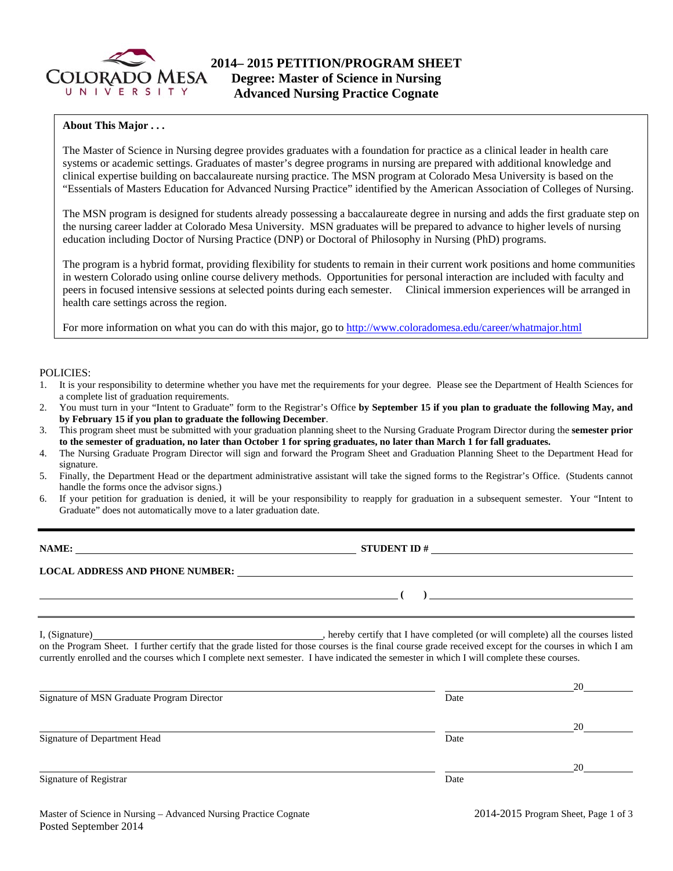

### **About This Major . . .**

The Master of Science in Nursing degree provides graduates with a foundation for practice as a clinical leader in health care systems or academic settings. Graduates of master's degree programs in nursing are prepared with additional knowledge and clinical expertise building on baccalaureate nursing practice. The MSN program at Colorado Mesa University is based on the "Essentials of Masters Education for Advanced Nursing Practice" identified by the American Association of Colleges of Nursing.

The MSN program is designed for students already possessing a baccalaureate degree in nursing and adds the first graduate step on the nursing career ladder at Colorado Mesa University. MSN graduates will be prepared to advance to higher levels of nursing education including Doctor of Nursing Practice (DNP) or Doctoral of Philosophy in Nursing (PhD) programs.

The program is a hybrid format, providing flexibility for students to remain in their current work positions and home communities in western Colorado using online course delivery methods. Opportunities for personal interaction are included with faculty and peers in focused intensive sessions at selected points during each semester. Clinical immersion experiences will be arranged in health care settings across the region.

For more information on what you can do with this major, go to http://www.coloradomesa.edu/career/whatmajor.html

#### POLICIES:

- 1. It is your responsibility to determine whether you have met the requirements for your degree. Please see the Department of Health Sciences for a complete list of graduation requirements.
- 2. You must turn in your "Intent to Graduate" form to the Registrar's Office **by September 15 if you plan to graduate the following May, and by February 15 if you plan to graduate the following December**.
- 3. This program sheet must be submitted with your graduation planning sheet to the Nursing Graduate Program Director during the **semester prior to the semester of graduation, no later than October 1 for spring graduates, no later than March 1 for fall graduates.**
- 4. The Nursing Graduate Program Director will sign and forward the Program Sheet and Graduation Planning Sheet to the Department Head for signature.
- 5. Finally, the Department Head or the department administrative assistant will take the signed forms to the Registrar's Office. (Students cannot handle the forms once the advisor signs.)
- 6. If your petition for graduation is denied, it will be your responsibility to reapply for graduation in a subsequent semester. Your "Intent to Graduate" does not automatically move to a later graduation date.

| NAME:                                  | <b>STUDENT ID#</b> |
|----------------------------------------|--------------------|
| <b>LOCAL ADDRESS AND PHONE NUMBER:</b> |                    |
|                                        |                    |

I, (Signature) **Solution** , hereby certify that I have completed (or will complete) all the courses listed on the Program Sheet. I further certify that the grade listed for those courses is the final course grade received except for the courses in which I am currently enrolled and the courses which I complete next semester. I have indicated the semester in which I will complete these courses.

|                                            |      | 20 |
|--------------------------------------------|------|----|
| Signature of MSN Graduate Program Director | Date |    |
|                                            |      | 20 |
| Signature of Department Head               | Date |    |
|                                            |      | 20 |
| Signature of Registrar                     | Date |    |
|                                            |      |    |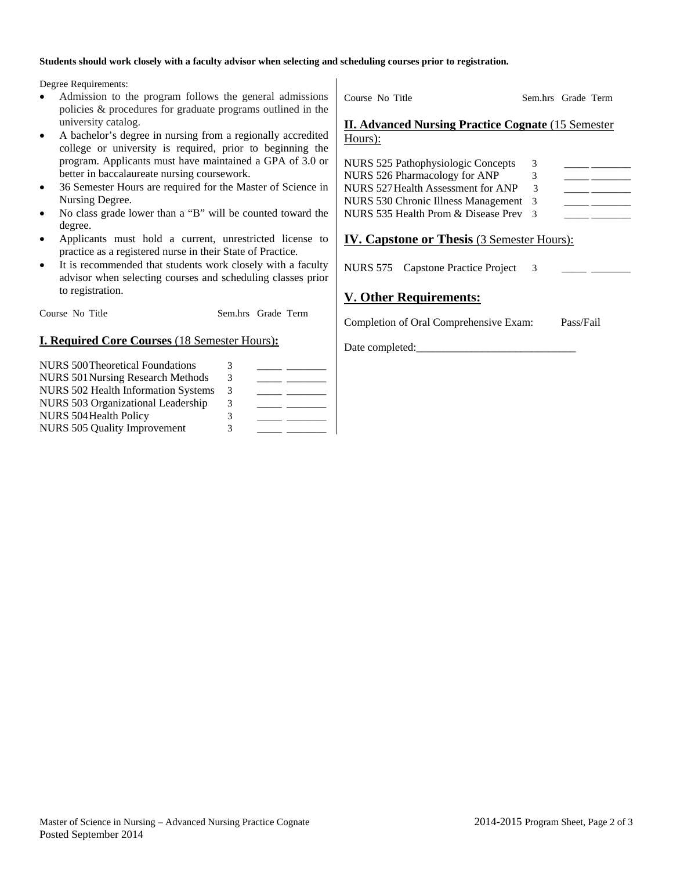#### **Students should work closely with a faculty advisor when selecting and scheduling courses prior to registration.**

Degree Requirements:

- Admission to the program follows the general admissions policies & procedures for graduate programs outlined in the university catalog.
- A bachelor's degree in nursing from a regionally accredited college or university is required, prior to beginning the program. Applicants must have maintained a GPA of 3.0 or better in baccalaureate nursing coursework.
- 36 Semester Hours are required for the Master of Science in Nursing Degree.
- No class grade lower than a "B" will be counted toward the degree.
- Applicants must hold a current, unrestricted license to practice as a registered nurse in their State of Practice.
- It is recommended that students work closely with a faculty advisor when selecting courses and scheduling classes prior to registration.

Course No Title Sem.hrs Grade Term

## **I. Required Core Courses** (18 Semester Hours)**:**

| <b>NURS 500 Theoretical Foundations</b>    | 3 |  |
|--------------------------------------------|---|--|
| <b>NURS 501 Nursing Research Methods</b>   | 3 |  |
| <b>NURS 502 Health Information Systems</b> | 3 |  |
| NURS 503 Organizational Leadership         | 3 |  |
| NURS 504 Health Policy                     | 3 |  |
| NURS 505 Quality Improvement               | 3 |  |

Course No Title Sem.hrs Grade Term **II. Advanced Nursing Practice Cognate** (15 Semester Hours):

| 3                                                    |  |
|------------------------------------------------------|--|
| 3.                                                   |  |
| 3                                                    |  |
| NURS 530 Chronic Illness Management 3                |  |
| NURS 535 Health Prom & Disease Prev<br>$\mathcal{R}$ |  |
|                                                      |  |

# **IV. Capstone or Thesis** (3 Semester Hours):

NURS 575 Capstone Practice Project 3

# **V. Other Requirements:**

Date completed:

Completion of Oral Comprehensive Exam: Pass/Fail

Master of Science in Nursing – Advanced Nursing Practice Cognate 2014-2015 Program Sheet, Page 2 of 3 Posted September 2014